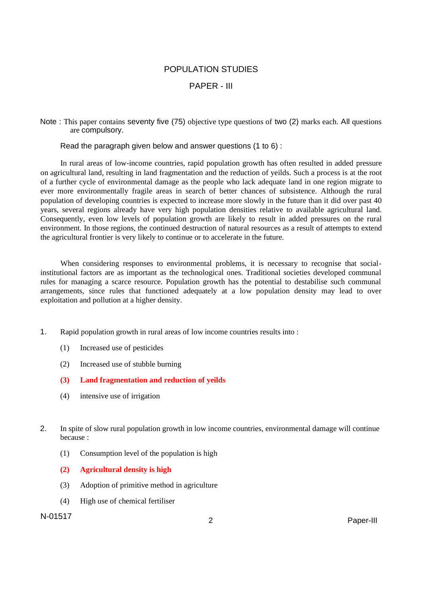## POPULATION STUDIES

## PAPER - III

Note : This paper contains seventy five (75) objective type questions of two (2) marks each. All questions are compulsory.

Read the paragraph given below and answer questions (1 to 6) :

In rural areas of low-income countries, rapid population growth has often resulted in added pressure on agricultural land, resulting in land fragmentation and the reduction of yeilds. Such a process is at the root of a further cycle of environmental damage as the people who lack adequate land in one region migrate to ever more environmentally fragile areas in search of better chances of subsistence. Although the rural population of developing countries is expected to increase more slowly in the future than it did over past 40 years, several regions already have very high population densities relative to available agricultural land. Consequently, even low levels of population growth are likely to result in added pressures on the rural environment. In those regions, the continued destruction of natural resources as a result of attempts to extend the agricultural frontier is very likely to continue or to accelerate in the future.

When considering responses to environmental problems, it is necessary to recognise that socialinstitutional factors are as important as the technological ones. Traditional societies developed communal rules for managing a scarce resource. Population growth has the potential to destabilise such communal arrangements, since rules that functioned adequately at a low population density may lead to over exploitation and pollution at a higher density.

- 1. Rapid population growth in rural areas of low income countries results into :
	- (1) Increased use of pesticides
	- (2) Increased use of stubble burning
	- **(3) Land fragmentation and reduction of yeilds**
	- (4) intensive use of irrigation
- 2. In spite of slow rural population growth in low income countries, environmental damage will continue because :
	- (1) Consumption level of the population is high
	- **(2) Agricultural density is high**
	- (3) Adoption of primitive method in agriculture
	- (4) High use of chemical fertiliser

## N-01517 <sup>2</sup> Paper-III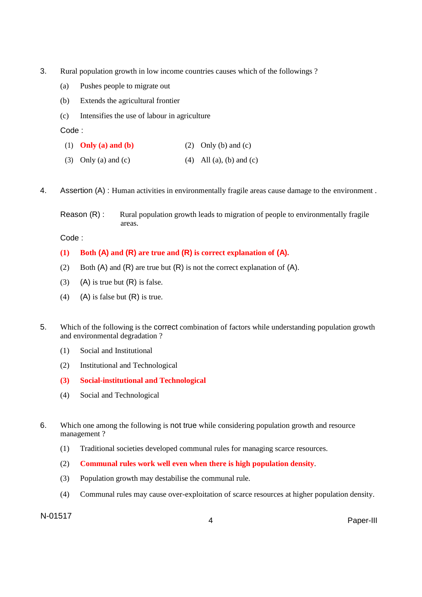- 3. Rural population growth in low income countries causes which of the followings ?
	- (a) Pushes people to migrate out
	- (b) Extends the agricultural frontier
	- (c) Intensifies the use of labour in agriculture

- (1) **Only (a) and (b)** (2) Only (b) and (c)
- (3) Only (a) and (c)  $(4)$  All (a), (b) and (c)
- 4. Assertion (A) : Human activities in environmentally fragile areas cause damage to the environment .
	- Reason (R) : Rural population growth leads to migration of people to environmentally fragile areas.

Code :

### **(1) Both (A) and (R) are true and (R) is correct explanation of (A).**

- (2) Both  $(A)$  and  $(R)$  are true but  $(R)$  is not the correct explanation of  $(A)$ .
- (3) (A) is true but  $(R)$  is false.
- (4) (A) is false but  $(R)$  is true.
- 5. Which of the following is the correct combination of factors while understanding population growth and environmental degradation ?
	- (1) Social and Institutional
	- (2) Institutional and Technological
	- **(3) Social-institutional and Technological**
	- (4) Social and Technological
- 6. Which one among the following is not true while considering population growth and resource management ?
	- (1) Traditional societies developed communal rules for managing scarce resources.
	- (2) **Communal rules work well even when there is high population density**.
	- (3) Population growth may destabilise the communal rule.
	- (4) Communal rules may cause over-exploitation of scarce resources at higher population density.

N-01517 <sup>4</sup> Paper-III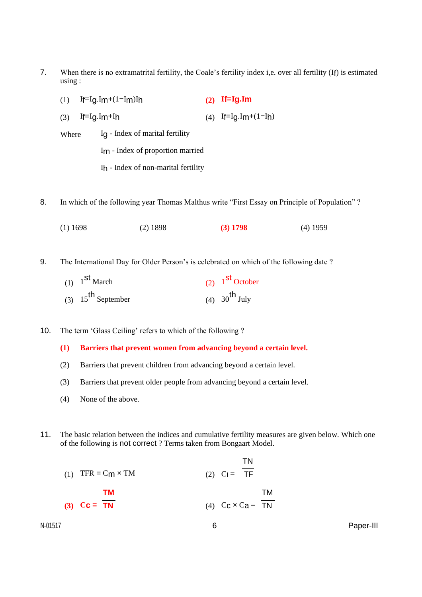- 7. When there is no extramatrital fertility, the Coale's fertility index i,e. over all fertility (If) is estimated using :
	- (1) If=Ig.Im+(1−Im)Ih **(2) If=Ig.Im** (3) If=Ig.Im+Ih (4) If=Ig.Im+(1-Ih)
	- Where Ig Index of marital fertility
		- Im Index of proportion married
		- Ih Index of non-marital fertility
- 8. In which of the following year Thomas Malthus write "First Essay on Principle of Population" ?
	- (1) 1698 (2) 1898 **(3) 1798** (4) 1959
- 9. The International Day for Older Person's is celebrated on which of the following date ?

| $(1)$ 1 <sup>st</sup> March    | $(2)$ 1 <sup>st</sup> October |
|--------------------------------|-------------------------------|
| (3) $15^{\text{th}}$ September | (4) $30^{th}$ July            |

10. The term 'Glass Ceiling' refers to which of the following ?

### **(1) Barriers that prevent women from advancing beyond a certain level.**

- (2) Barriers that prevent children from advancing beyond a certain level.
- (3) Barriers that prevent older people from advancing beyond a certain level.
- (4) None of the above.
- 11. The basic relation between the indices and cumulative fertility measures are given below. Which one of the following is not correct ? Terms taken from Bongaart Model.

 $\overline{\phantom{a}}$ 

|    |                                            | ΙN |                                             |
|----|--------------------------------------------|----|---------------------------------------------|
| TМ |                                            |    | TM                                          |
|    |                                            |    |                                             |
|    | (1) TFR = $C_m \times TM$<br>(3) $Cc = TN$ |    | (2) $C_1 = TF$<br>(4) $C_C \times C_B = TN$ |

N-01517 6 Paper-III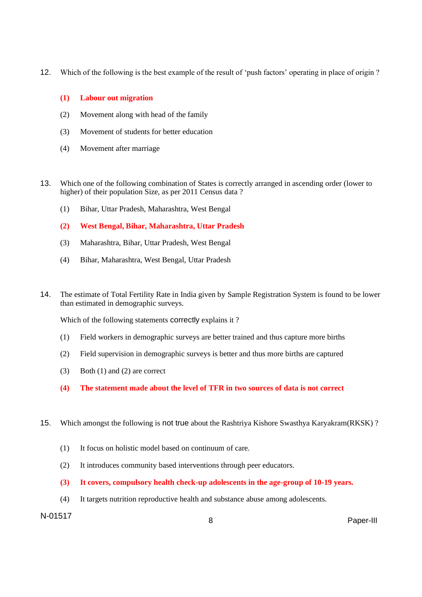12. Which of the following is the best example of the result of 'push factors' operating in place of origin ?

### **(1) Labour out migration**

- (2) Movement along with head of the family
- (3) Movement of students for better education
- (4) Movement after marriage
- 13. Which one of the following combination of States is correctly arranged in ascending order (lower to higher) of their population Size, as per 2011 Census data?
	- (1) Bihar, Uttar Pradesh, Maharashtra, West Bengal
	- **(2) West Bengal, Bihar, Maharashtra, Uttar Pradesh**
	- (3) Maharashtra, Bihar, Uttar Pradesh, West Bengal
	- (4) Bihar, Maharashtra, West Bengal, Uttar Pradesh
- 14. The estimate of Total Fertility Rate in India given by Sample Registration System is found to be lower than estimated in demographic surveys.

Which of the following statements correctly explains it?

- (1) Field workers in demographic surveys are better trained and thus capture more births
- (2) Field supervision in demographic surveys is better and thus more births are captured
- (3) Both (1) and (2) are correct
- **(4) The statement made about the level of TFR in two sources of data is not correct**
- 15. Which amongst the following is not true about the Rashtriya Kishore Swasthya Karyakram(RKSK) ?
	- (1) It focus on holistic model based on continuum of care.
	- (2) It introduces community based interventions through peer educators.
	- **(3) It covers, compulsory health check-up adolescents in the age-group of 10-19 years.**
	- (4) It targets nutrition reproductive health and substance abuse among adolescents.

# N-01517 <sup>8</sup> Paper-III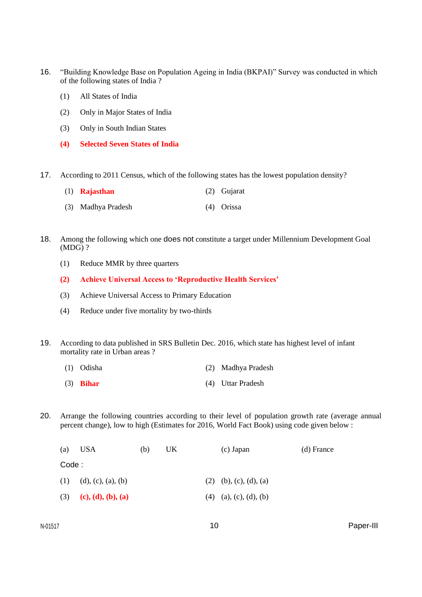- 16. "Building Knowledge Base on Population Ageing in India (BKPAI)" Survey was conducted in which of the following states of India ?
	- (1) All States of India
	- (2) Only in Major States of India
	- (3) Only in South Indian States
	- **(4) Selected Seven States of India**
- 17. According to 2011 Census, which of the following states has the lowest population density?
	- (1) **Rajasthan** (2) Gujarat
	- (3) Madhya Pradesh (4) Orissa
- 18. Among the following which one does not constitute a target under Millennium Development Goal (MDG) ?
	- (1) Reduce MMR by three quarters
	- **(2) Achieve Universal Access to 'Reproductive Health Services'**
	- (3) Achieve Universal Access to Primary Education
	- (4) Reduce under five mortality by two-thirds
- 19. According to data published in SRS Bulletin Dec. 2016, which state has highest level of infant mortality rate in Urban areas ?
	- (1) Odisha (2) Madhya Pradesh
	- (3) **Bihar** (4) Uttar Pradesh
- 20. Arrange the following countries according to their level of population growth rate (average annual percent change), low to high (Estimates for 2016, World Fact Book) using code given below :

| (a)   | USA                        | (b) | UK. | (c) Japan                | (d) France |
|-------|----------------------------|-----|-----|--------------------------|------------|
| Code: |                            |     |     |                          |            |
|       | $(1)$ $(d), (c), (a), (b)$ |     |     | $(2)$ (b), (c), (d), (a) |            |
|       | (3) (c), (d), (b), (a)     |     |     | $(4)$ (a), (c), (d), (b) |            |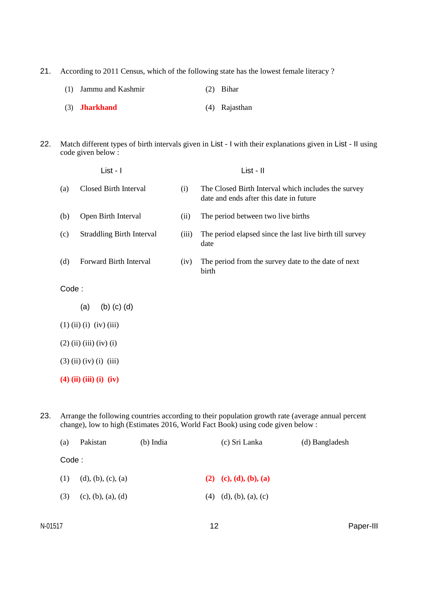21. According to 2011 Census, which of the following state has the lowest female literacy ?

| (1) Jammu and Kashmir | $(2)$ Bihar |
|-----------------------|-------------|
|                       |             |

- (3) **Jharkhand** (4) Rajasthan
- 22. Match different types of birth intervals given in List I with their explanations given in List II using code given below :

|       | List - I                         |       | List - II                                                                                      |  |  |  |
|-------|----------------------------------|-------|------------------------------------------------------------------------------------------------|--|--|--|
| (a)   | Closed Birth Interval            | (i)   | The Closed Birth Interval which includes the survey<br>date and ends after this date in future |  |  |  |
| (b)   | Open Birth Interval              | (ii)  | The period between two live births                                                             |  |  |  |
| (c)   | <b>Straddling Birth Interval</b> | (iii) | The period elapsed since the last live birth till survey<br>date                               |  |  |  |
| (d)   | Forward Birth Interval           | (iv)  | The period from the survey date to the date of next<br>birth                                   |  |  |  |
| Code: |                                  |       |                                                                                                |  |  |  |
|       | $(b)$ $(c)$ $(d)$<br>(a)         |       |                                                                                                |  |  |  |
|       | $(1)$ (ii) (i) (iv) (iii)        |       |                                                                                                |  |  |  |
|       | $(2)$ (ii) (iii) (iv) (i)        |       |                                                                                                |  |  |  |
|       | $(3)$ (ii) (iv) (i) (iii)        |       |                                                                                                |  |  |  |
|       | $(4)$ (ii) (iii) (i) (iv)        |       |                                                                                                |  |  |  |

23. Arrange the following countries according to their population growth rate (average annual percent change), low to high (Estimates 2016, World Fact Book) using code given below :

| (a)   | Pakistan           | $(b)$ India | (c) Sri Lanka              | (d) Bangladesh |
|-------|--------------------|-------------|----------------------------|----------------|
| Code: |                    |             |                            |                |
| (1)   | (d), (b), (c), (a) |             | (2) (c), (d), (b), (a)     |                |
| (3)   | (c), (b), (a), (d) |             | $(4)$ $(d), (b), (a), (c)$ |                |
|       |                    |             |                            |                |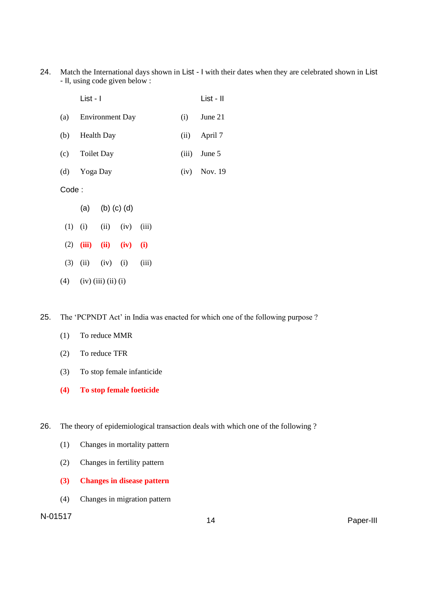24. Match the International days shown in List - I with their dates when they are celebrated shown in List - II, using code given below :

|       | List - I            |                   |     |                |  |       | List - II |
|-------|---------------------|-------------------|-----|----------------|--|-------|-----------|
|       | (a) Environment Day |                   |     |                |  | (i)   | June 21   |
|       | (b) Health Day      |                   |     |                |  | (ii)  | April 7   |
|       | (c) Toilet Day      |                   |     |                |  | (iii) | June 5    |
|       | (d) Yoga Day        |                   |     | $(iv)$ Nov. 19 |  |       |           |
| Code: |                     |                   |     |                |  |       |           |
|       | (a)                 | $(b)$ $(c)$ $(d)$ |     |                |  |       |           |
| (1)   | $(i)$ $(ii)$ $(iv)$ |                   |     | (iii)          |  |       |           |
| (2)   | (iii)               | $(ii)$ $(iv)$     |     | (i)            |  |       |           |
| (3)   |                     | $(ii)$ $(iv)$     | (i) | (iii)          |  |       |           |
|       |                     |                   |     |                |  |       |           |

## (4) (iv) (iii) (ii) (i)

25. The 'PCPNDT Act' in India was enacted for which one of the following purpose ?

- (1) To reduce MMR
- (2) To reduce TFR
- (3) To stop female infanticide
- **(4) To stop female foeticide**

26. The theory of epidemiological transaction deals with which one of the following ?

- (1) Changes in mortality pattern
- (2) Changes in fertility pattern
- **(3) Changes in disease pattern**
- (4) Changes in migration pattern

# N-01517 <sup>14</sup> Paper-III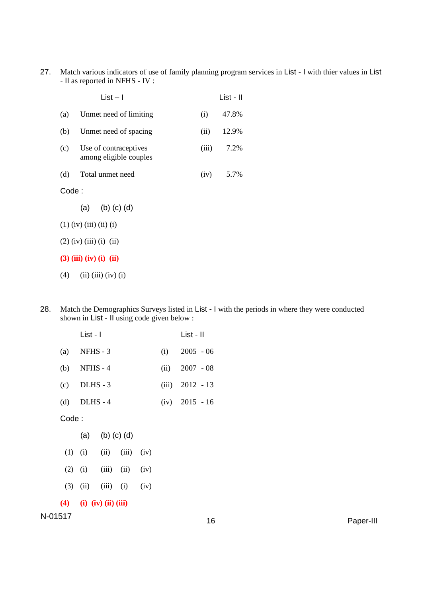27. Match various indicators of use of family planning program services in List - I with thier values in List - II as reported in NFHS - IV :

|                           | $List - I$                                          |       | List - II   |  |
|---------------------------|-----------------------------------------------------|-------|-------------|--|
| (a)                       | Unmet need of limiting                              | (i)   | 47.8%       |  |
| (b)                       | Unmet need of spacing                               | (ii)  | 12.9%       |  |
|                           | (c) Use of contraceptives<br>among eligible couples | (iii) | 7.2%        |  |
| (d)                       | Total unmet need                                    |       | $(iv)$ 5.7% |  |
| Code:                     |                                                     |       |             |  |
|                           | (a) (b) (c) (d)                                     |       |             |  |
| $(1)$ (iv) (iii) (ii) (i) |                                                     |       |             |  |
| $(2)$ (iv) (iii) (i) (ii) |                                                     |       |             |  |
| $(3)$ (iii) (iv) (i) (ii) |                                                     |       |             |  |
| (4)                       | $(ii)$ $(iii)$ $(iv)$ $(i)$                         |       |             |  |

28. Match the Demographics Surveys listed in List - I with the periods in where they were conducted shown in List - II using code given below :

|        | List - I                          |                 |  |                   | List - II        |  |
|--------|-----------------------------------|-----------------|--|-------------------|------------------|--|
|        | $(a)$ NFHS - 3                    |                 |  |                   | $(i)$ 2005 - 06  |  |
|        | (b) NFHS - $4$                    |                 |  | $(ii)$ 2007 - 08  |                  |  |
|        | $(c)$ DLHS - 3                    |                 |  | $(iii)$ 2012 - 13 |                  |  |
|        | $(d)$ DLHS-4                      |                 |  |                   | $(iv)$ 2015 - 16 |  |
| Code : |                                   |                 |  |                   |                  |  |
|        |                                   | (a) (b) (c) (d) |  |                   |                  |  |
|        | $(1)$ $(ii)$ $(iii)$ $(iiv)$      |                 |  |                   |                  |  |
|        | $(2)$ $(i)$ $(iii)$ $(ii)$ $(iv)$ |                 |  |                   |                  |  |
|        | $(3)$ $(ii)$ $(iii)$ $(i)$ $(iv)$ |                 |  |                   |                  |  |
|        | $(4)$ (i) (iv) (ii) (iii)         |                 |  |                   |                  |  |
|        |                                   |                 |  |                   |                  |  |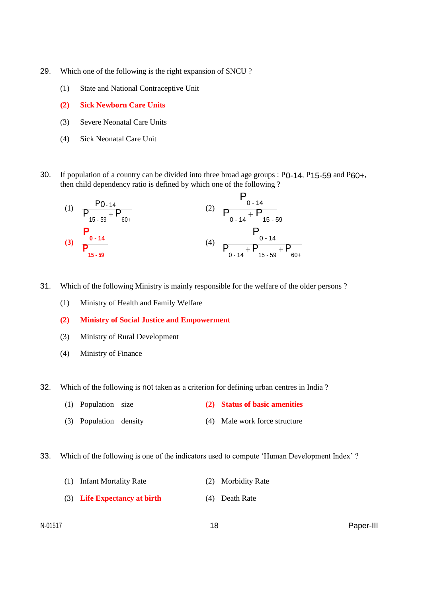- 29. Which one of the following is the right expansion of SNCU ?
	- (1) State and National Contraceptive Unit
	- **(2) Sick Newborn Care Units**
	- (3) Severe Neonatal Care Units
	- (4) Sick Neonatal Care Unit
- 30. If population of a country can be divided into three broad age groups : P0-14, P15-59 and P60+, then child dependency ratio is defined by which one of the following ?

(1) 
$$
\frac{P_{0.14}}{P_{15.59} + P_{60+}}
$$
  
\n(2)  $\frac{P_{0.14}}{P_{0.14} + P_{15.59}}$   
\n(3)  $\frac{P_{0.14}}{P_{15.59}}$   
\n(4)  $\frac{P_{0.14}}{P_{0.14} + P_{15.59} + P_{60+}}$ 

- 31. Which of the following Ministry is mainly responsible for the welfare of the older persons ?
	- (1) Ministry of Health and Family Welfare
	- **(2) Ministry of Social Justice and Empowerment**
	- (3) Ministry of Rural Development
	- (4) Ministry of Finance
- 32. Which of the following is not taken as a criterion for defining urban centres in India ?
	- (1) Population size **(2) Status of basic amenities**
	- (3) Population density (4) Male work force structure
- 33. Which of the following is one of the indicators used to compute 'Human Development Index' ?
	- (1) Infant Mortality Rate (2) Morbidity Rate (3) **Life Expectancy at birth** (4) Death Rate
-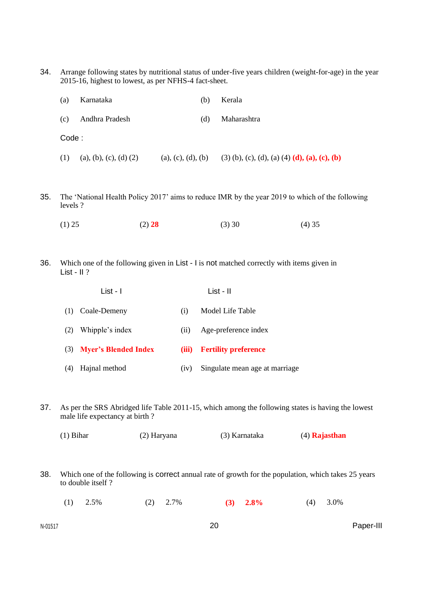34. Arrange following states by nutritional status of under-five years children (weight-for-age) in the year 2015-16, highest to lowest, as per NFHS-4 fact-sheet.

| (a)   | Karnataka                | (b)                | Kerala                                               |
|-------|--------------------------|--------------------|------------------------------------------------------|
| (c)   | Andhra Pradesh           | (d)                | Maharashtra                                          |
| Code: |                          |                    |                                                      |
| (1)   | (a), (b), (c), (d) $(2)$ | (a), (c), (d), (b) | (3) (b), (c), (d), (a) (4) <b>(d), (a), (c), (b)</b> |

- 35. The 'National Health Policy 2017' aims to reduce IMR by the year 2019 to which of the following levels ?
	- (1) 25 (2) **28** (3) 30 (4) 35
- 36. Which one of the following given in List I is not matched correctly with items given in List - II ?

|     | $List - I$               |       | List - II                      |
|-----|--------------------------|-------|--------------------------------|
|     | (1) Coale-Demeny         | (1)   | Model Life Table               |
| (2) | Whipple's index          | (11)  | Age-preference index           |
|     | (3) Myer's Blended Index | (iii) | <b>Fertility preference</b>    |
| (4) | Hajnal method            | (1V)  | Singulate mean age at marriage |

- 37. As per the SRS Abridged life Table 2011-15, which among the following states is having the lowest male life expectancy at birth ?
	- (1) Bihar (2) Haryana (3) Karnataka (4) **Rajasthan**
- 38. Which one of the following is correct annual rate of growth for the population, which takes 25 years to double itself ?
	- (1) 2.5% (2) 2.7% **(3) 2.8%** (4) 3.0%

N-01517 20 Paper-III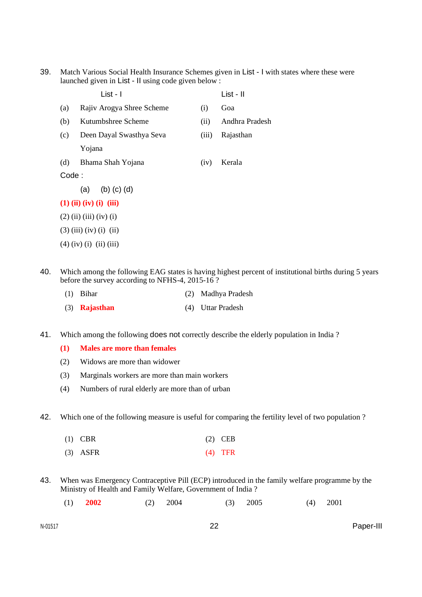39. Match Various Social Health Insurance Schemes given in List - I with states where these were launched given in List - II using code given below :

|                           | List - I                  |       | List - II      |  |  |  |
|---------------------------|---------------------------|-------|----------------|--|--|--|
| (a)                       | Rajiv Arogya Shree Scheme | (i)   | Goa            |  |  |  |
| (b)                       | Kutumbshree Scheme        | (ii)  | Andhra Pradesh |  |  |  |
| (c)                       | Deen Dayal Swasthya Seva  | (iii) | Rajasthan      |  |  |  |
|                           | Yojana                    |       |                |  |  |  |
| (d)                       | Bhama Shah Yojana         | (iv)  | Kerala         |  |  |  |
| Code:                     |                           |       |                |  |  |  |
|                           | (a) (b) (c) (d)           |       |                |  |  |  |
|                           | $(1)$ (ii) (iv) (i) (iii) |       |                |  |  |  |
| $(2)$ (ii) (iii) (iv) (i) |                           |       |                |  |  |  |
| $(3)$ (iii) (iv) (i) (ii) |                           |       |                |  |  |  |
|                           | $(4)$ (iv) (i) (ii) (iii) |       |                |  |  |  |

40. Which among the following EAG states is having highest percent of institutional births during 5 years before the survey according to NFHS-4, 2015-16 ?

| $(1)$ Bihar            | (2) Madhya Pradesh |
|------------------------|--------------------|
| $(3)$ <b>Rajasthan</b> | (4) Uttar Pradesh  |

41. Which among the following **does not** correctly describe the elderly population in India?

#### **(1) Males are more than females**

- (2) Widows are more than widower
- (3) Marginals workers are more than main workers
- (4) Numbers of rural elderly are more than of urban
- 42. Which one of the following measure is useful for comparing the fertility level of two population ?

| $(1)$ CBR  | $(2)$ CEB |
|------------|-----------|
| $(3)$ ASFR | $(4)$ TFR |

- 43. When was Emergency Contraceptive Pill (ECP) introduced in the family welfare programme by the Ministry of Health and Family Welfare, Government of India ?
	- (1) **2002** (2) 2004 (3) 2005 (4) 2001

N-01517 22 Paper-III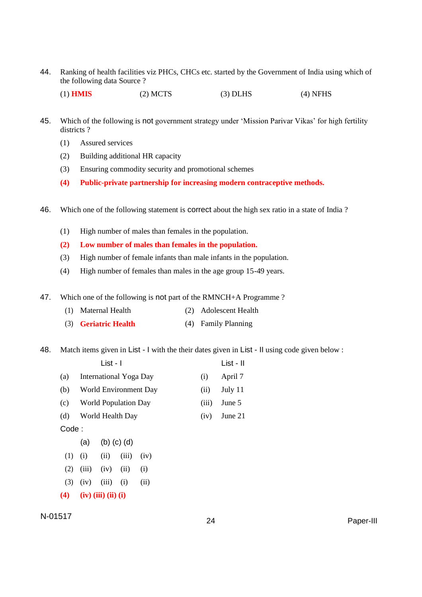44. Ranking of health facilities viz PHCs, CHCs etc. started by the Government of India using which of the following data Source ?

(1) **HMIS** (2) MCTS (3) DLHS (4) NFHS

- 45. Which of the following is not government strategy under 'Mission Parivar Vikas' for high fertility districts ?
	- (1) Assured services
	- (2) Building additional HR capacity
	- (3) Ensuring commodity security and promotional schemes
	- **(4) Public-private partnership for increasing modern contraceptive methods.**
- 46. Which one of the following statement is correct about the high sex ratio in a state of India ?
	- (1) High number of males than females in the population.
	- **(2) Low number of males than females in the population.**
	- (3) High number of female infants than male infants in the population.
	- (4) High number of females than males in the age group 15-49 years.
- 47. Which one of the following is not part of the RMNCH+A Programme ?
	- (1) Maternal Health (2) Adolescent Health
	- (3) **Geriatric Health** (4) Family Planning

48. Match items given in List - I with the their dates given in List - II using code given below :

|       |     | List - I |                             |                       |  |       | List - II |
|-------|-----|----------|-----------------------------|-----------------------|--|-------|-----------|
| (a)   |     |          | International Yoga Day      |                       |  | (i)   | April 7   |
| (b)   |     |          |                             | World Environment Day |  | (ii)  | July 11   |
| (c)   |     |          | <b>World Population Day</b> |                       |  | (iii) | June 5    |
| (d)   |     |          | World Health Day            |                       |  | (iv)  | June 21   |
| Code: |     |          |                             |                       |  |       |           |
|       | (a) |          | $(b)$ $(c)$ $(d)$           |                       |  |       |           |
| (1)   | (i) | (ii)     | (iii)                       | (iv)                  |  |       |           |

- $(2)$   $(iii)$   $(iv)$   $(ii)$   $(i)$
- (3) (iv) (iii) (i) (ii)
- **(4) (iv) (iii) (ii) (i)**

N-01517 <sup>24</sup> Paper-III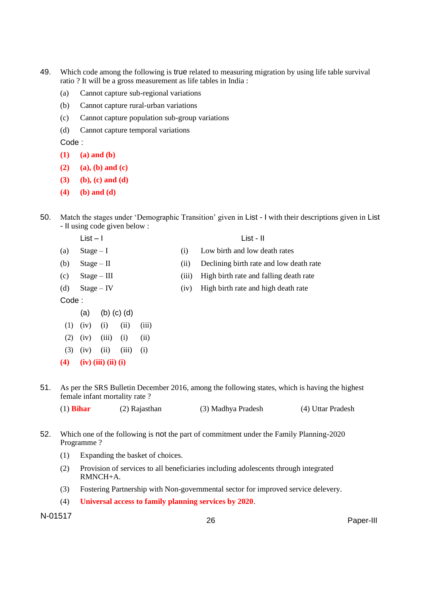- 49. Which code among the following is true related to measuring migration by using life table survival ratio ? It will be a gross measurement as life tables in India :
	- (a) Cannot capture sub-regional variations
	- (b) Cannot capture rural-urban variations
	- (c) Cannot capture population sub-group variations
	- (d) Cannot capture temporal variations

- **(1) (a) and (b)**
- **(2) (a), (b) and (c)**
- **(3) (b), (c) and (d)**
- **(4) (b) and (d)**
- 50. Match the stages under 'Demographic Transition' given in List I with their descriptions given in List - II using code given below :
	- List I List II
	-
	-
	-
	-
	- Code :
		- (a) (b) (c) (d)
	- (1) (iv) (i) (ii) (iii)
	- $(2)$   $(iv)$   $(iii)$   $(i)$   $(ii)$
	- $(3)$   $(iv)$   $(ii)$   $(iii)$   $(i)$
	- **(4) (iv) (iii) (ii) (i)**
- 
- (a) Stage I (i) Low birth and low death rates
- (b) Stage II (ii) Declining birth rate and low death rate
- (c) Stage III (iii) High birth rate and falling death rate
- (d) Stage IV (iv) High birth rate and high death rate

- 51. As per the SRS Bulletin December 2016, among the following states, which is having the highest female infant mortality rate ?
	- (1) **Bihar** (2) Rajasthan (3) Madhya Pradesh (4) Uttar Pradesh
- 52. Which one of the following is not the part of commitment under the Family Planning-2020 Programme ?
	- (1) Expanding the basket of choices.
	- (2) Provision of services to all beneficiaries including adolescents through integrated RMNCH+A.
	- (3) Fostering Partnership with Non-governmental sector for improved service delevery.
	- (4) **Universal access to family planning services by 2020**.

N-01517 <sup>26</sup> Paper-III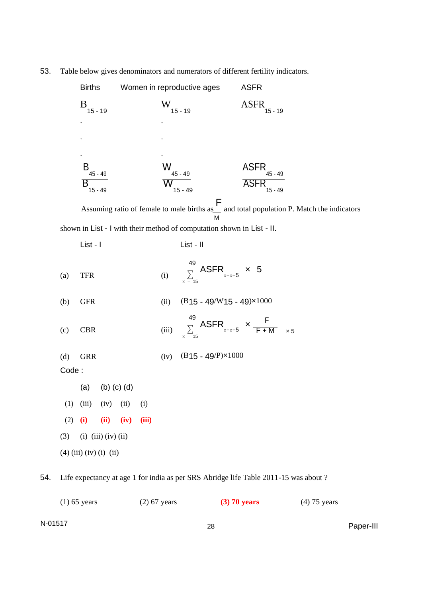53. Table below gives denominators and numerators of different fertility indicators.

|     |       | <b>Births</b> |                             |                   |       |       | Women in reproductive ages |                                                                                                             | <b>ASFR</b>                             |           |            |  |  |
|-----|-------|---------------|-----------------------------|-------------------|-------|-------|----------------------------|-------------------------------------------------------------------------------------------------------------|-----------------------------------------|-----------|------------|--|--|
|     |       | $B_{15-19}$   |                             |                   |       |       | $W_{15 - 19}$              |                                                                                                             | <b>ASFR</b>                             | $15 - 19$ |            |  |  |
|     |       |               |                             |                   |       |       |                            |                                                                                                             |                                         |           |            |  |  |
|     |       |               |                             |                   |       |       |                            |                                                                                                             |                                         |           |            |  |  |
|     |       |               |                             |                   |       |       |                            |                                                                                                             |                                         |           |            |  |  |
|     |       | $B_{45-49}$   |                             |                   |       |       | $W_{45-49}$                |                                                                                                             | ASFR $_{45-49}$                         |           |            |  |  |
|     |       | Β             | $15 - 49$                   |                   |       |       | $\frac{1}{15 - 49}$        |                                                                                                             | $\overline{\text{ASFR}}_{15\text{-}49}$ |           |            |  |  |
|     |       |               |                             |                   |       |       |                            | Assuming ratio of female to male births as $\overline{F}$ and total population P. Match the indicators<br>м |                                         |           |            |  |  |
|     |       |               |                             |                   |       |       |                            | shown in List - I with their method of computation shown in List - II.                                      |                                         |           |            |  |  |
|     |       | List - I      |                             |                   |       |       | List - II                  |                                                                                                             |                                         |           |            |  |  |
|     | (a)   | <b>TFR</b>    |                             |                   |       | (i)   | 49<br>$x = 15$             | $\sum_{x=x+5}^{10}$ ASFR $x = 5$                                                                            |                                         |           |            |  |  |
|     | (b)   | <b>GFR</b>    |                             |                   |       | (ii)  |                            | $(B15 - 49/W15 - 49)x1000$                                                                                  |                                         |           |            |  |  |
|     | (c)   | <b>CBR</b>    |                             |                   |       | (iii) | 49                         | $\sum_{x=x+5}^{49}$ ASFR $x=x+5$ $\times$ $\frac{F}{F+M}$                                                   |                                         |           | $\times 5$ |  |  |
|     | (d)   | <b>GRR</b>    |                             |                   |       |       |                            | (iv) $(B15 - 49/P)x1000$                                                                                    |                                         |           |            |  |  |
|     | Code: |               |                             |                   |       |       |                            |                                                                                                             |                                         |           |            |  |  |
|     |       | (a)           |                             | $(b)$ $(c)$ $(d)$ |       |       |                            |                                                                                                             |                                         |           |            |  |  |
|     | (1)   | (iii)         | (iv)                        | (ii)              | (i)   |       |                            |                                                                                                             |                                         |           |            |  |  |
|     | (2)   | (i)           | (ii)                        | (iv)              | (iii) |       |                            |                                                                                                             |                                         |           |            |  |  |
|     | (3)   |               | $(i)$ $(iii)$ $(iv)$ $(ii)$ |                   |       |       |                            |                                                                                                             |                                         |           |            |  |  |
|     |       |               | $(4)$ (iii) (iv) (i) (ii)   |                   |       |       |                            |                                                                                                             |                                         |           |            |  |  |
| 54. |       |               |                             |                   |       |       |                            | Life expectancy at age 1 for india as per SRS Abridge life Table 2011-15 was about ?                        |                                         |           |            |  |  |

| $(1)$ 65 years | $(2)$ 67 years | $(3)$ 70 years | $(4)$ 75 years |
|----------------|----------------|----------------|----------------|
| N-01517        |                | 28             | Paper-III      |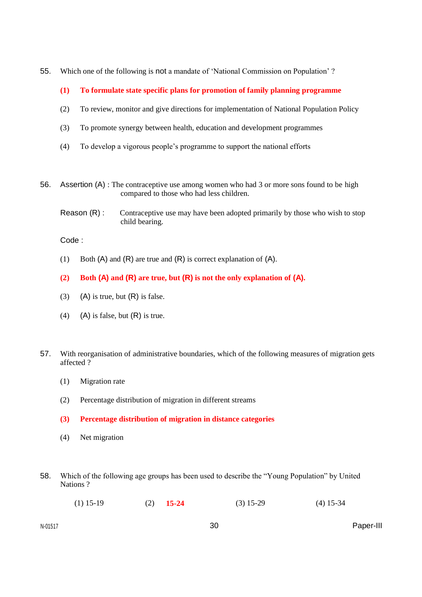- 55. Which one of the following is not a mandate of 'National Commission on Population' ?
	- **(1) To formulate state specific plans for promotion of family planning programme**
	- (2) To review, monitor and give directions for implementation of National Population Policy
	- (3) To promote synergy between health, education and development programmes
	- (4) To develop a vigorous people's programme to support the national efforts
- 56. Assertion (A) : The contraceptive use among women who had 3 or more sons found to be high compared to those who had less children.
	- Reason (R) : Contraceptive use may have been adopted primarily by those who wish to stop child bearing.

- (1) Both  $(A)$  and  $(R)$  are true and  $(R)$  is correct explanation of  $(A)$ .
- **(2) Both (A) and (R) are true, but (R) is not the only explanation of (A).**
- (3) (A) is true, but  $(R)$  is false.
- (4) (A) is false, but  $(R)$  is true.
- 57. With reorganisation of administrative boundaries, which of the following measures of migration gets affected ?
	- (1) Migration rate
	- (2) Percentage distribution of migration in different streams
	- **(3) Percentage distribution of migration in distance categories**
	- (4) Net migration
- 58. Which of the following age groups has been used to describe the "Young Population" by United Nations ?
	- (1) 15-19 (2) **15-24** (3) 15-29 (4) 15-34

N-01517 30 Paper-III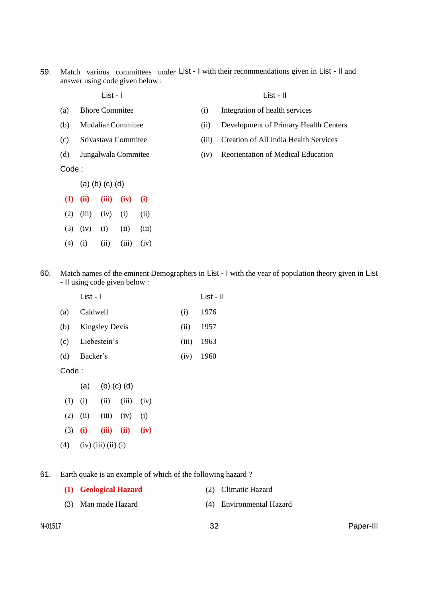59. Match various committees under List - I with their recommendations given in List - II and answer using code given below :

List - I

### List - II

- (a) Bhore Commitee (b) Mudaliar Commitee
- (c) Srivastava Commitee
- (d) Jungalwala Commitee

(i) Integration of health services

- (ii) Development of Primary Health Centers
- (iii) Creation of All India Health Services
- (iv) Reorientation of Medical Education

Code :

- (a) (b) (c) (d)
- **(1) (ii) (iii) (iv) (i)**  $(2)$   $(iii)$   $(iv)$   $(i)$   $(ii)$  $(3)$   $(iv)$   $(i)$   $(ii)$   $(iii)$
- $(4)$  (i) (ii) (iii) (iv)
- 60. Match names of the eminent Demographers in List I with the year of population theory given in List - II using code given below :

|       | List - I              |       | List - II   |
|-------|-----------------------|-------|-------------|
| (a)   | Caldwell              | (i)   | 1976        |
| (b)   | <b>Kingsley Devis</b> | (ii)  | 1957        |
|       | (c) Liebestein's      | (iii) | - 1963      |
| (d)   | Backer's              |       | $(iv)$ 1960 |
| Code: |                       |       |             |

- (a) (b) (c) (d)  $(1)$   $(ii)$   $(iii)$   $(iv)$  $(2)$   $(ii)$   $(iii)$   $(iv)$   $(i)$ (3) **(i) (iii) (ii) (iv)**
- $(4)$   $(iv)$   $(iii)$   $(ii)$   $(i)$
- 61. Earth quake is an example of which of the following hazard ?
	- **(1) Geological Hazard** (2) Climatic Hazard
	- (3) Man made Hazard (4) Environmental Hazard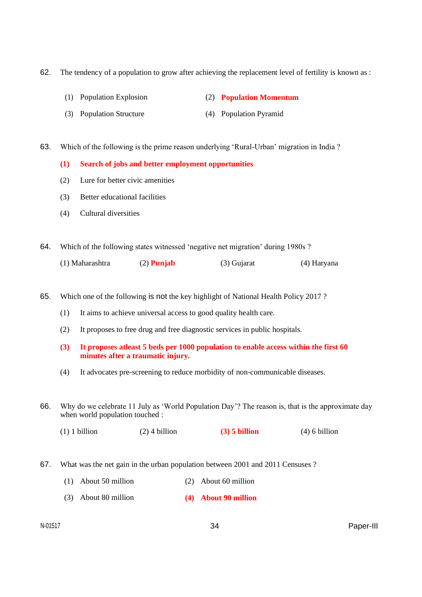62. The tendency of a population to grow after achieving the replacement level of fertility is known as :

- (1) Population Explosion (2) **Population Momentum**
- (3) Population Structure (4) Population Pyramid

63. Which of the following is the prime reason underlying 'Rural-Urban' migration in India ?

**(1) Search of jobs and better employment opportunities**

- (2) Lure for better civic amenities
- (3) Better educational facilities
- (4) Cultural diversities

64. Which of the following states witnessed 'negative net migration' during 1980s ?

|  | (1) Maharashtra | $(2)$ Punjab | (3) Gujarat | (4) Haryana |
|--|-----------------|--------------|-------------|-------------|
|--|-----------------|--------------|-------------|-------------|

65. Which one of the following is not the key highlight of National Health Policy 2017 ?

- (1) It aims to achieve universal access to good quality health care.
- (2) It proposes to free drug and free diagnostic services in public hospitals.
- **(3) It proposes atleast 5 beds per 1000 population to enable access within the first 60 minutes after a traumatic injury.**
- (4) It advocates pre-screening to reduce morbidity of non-communicable diseases.

66. Why do we celebrate 11 July as 'World Population Day'? The reason is, that is the approximate day when world population touched :

(1) 1 billion (2) 4 billion **(3) 5 billion** (4) 6 billion

- 67. What was the net gain in the urban population between 2001 and 2011 Censuses ?
	- (1) About 50 million (2) About 60 million
	- (3) About 80 million **(4) About 90 million**

N-01517 34 Paper-III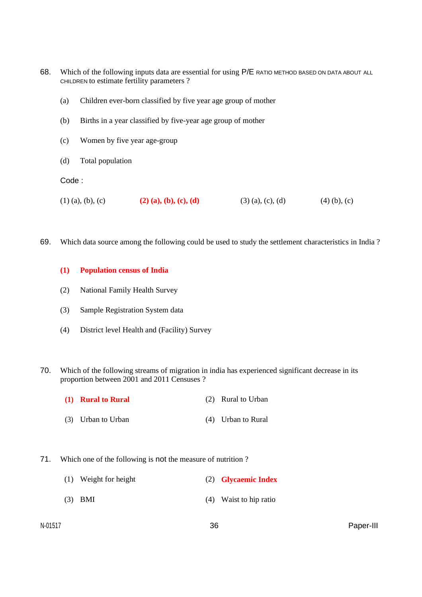- 68. Which of the following inputs data are essential for using P/E RATIO METHOD BASED ON DATA ABOUT ALL CHILDREN to estimate fertility parameters ?
	- (a) Children ever-born classified by five year age group of mother
	- (b) Births in a year classified by five-year age group of mother
	- (c) Women by five year age-group
	- (d) Total population

- (1) (a), (b), (c) **(2) (a), (b), (c), (d)** (3) (a), (c), (d) (4) (b), (c)
- 69. Which data source among the following could be used to study the settlement characteristics in India ?

### **(1) Population census of India**

- (2) National Family Health Survey
- (3) Sample Registration System data
- (4) District level Health and (Facility) Survey
- 70. Which of the following streams of migration in india has experienced significant decrease in its proportion between 2001 and 2011 Censuses ?
	- **(1) Rural to Rural** (2) Rural to Urban
	- (3) Urban to Urban (4) Urban to Rural
- 71. Which one of the following is not the measure of nutrition ?
	- (1) Weight for height (2) **Glycaemic Index** (3) BMI (4) Waist to hip ratio